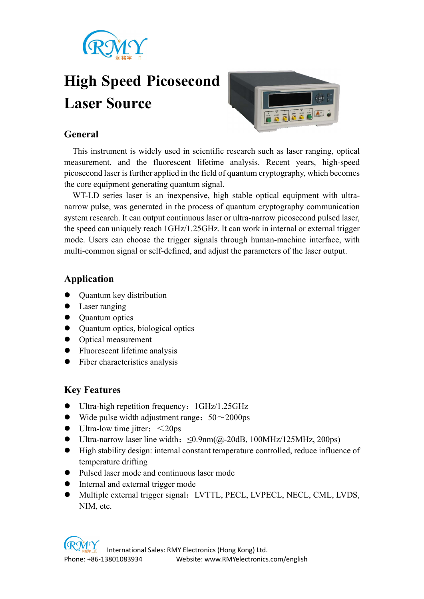

# High Speed Picosecond Laser Source



# General

This instrument is widely used in scientific research such as laser ranging, optical measurement, and the fluorescent lifetime analysis. Recent years, high-speed picosecond laser is further applied in the field of quantum cryptography, which becomes the core equipment generating quantum signal.

WT-LD series laser is an inexpensive, high stable optical equipment with ultranarrow pulse, was generated in the process of quantum cryptography communication system research. It can output continuous laser or ultra-narrow picosecond pulsed laser, the speed can uniquely reach 1GHz/1.25GHz. It can work in internal or external trigger mode. Users can choose the trigger signals through human-machine interface, with multi-common signal or self-defined, and adjust the parameters of the laser output.

#### Application

- Quantum key distribution
- Laser ranging
- Quantum optics
- Quantum optics, biological optics
- Optical measurement
- Fluorescent lifetime analysis
- Fiber characteristics analysis

## Key Features

- Ultra-high repetition frequency: 1GHz/1.25GHz
- Wide pulse width adjustment range:  $50~2000$ ps
- $\bullet$  Ultra-low time jitter:  $\leq$ 20ps
- Ultra-narrow laser line width:≤0.9nm(@-20dB, 100MHz/125MHz, 200ps)
- High stability design: internal constant temperature controlled, reduce influence of temperature drifting
- Pulsed laser mode and continuous laser mode
- Internal and external trigger mode
- Multiple external trigger signal: LVTTL, PECL, LVPECL, NECL, CML, LVDS, NIM, etc.

 International Sales: RMY Electronics (Hong Kong) Ltd. Phone: +86-13801083934 Website: www.RMYelectronics.com/english